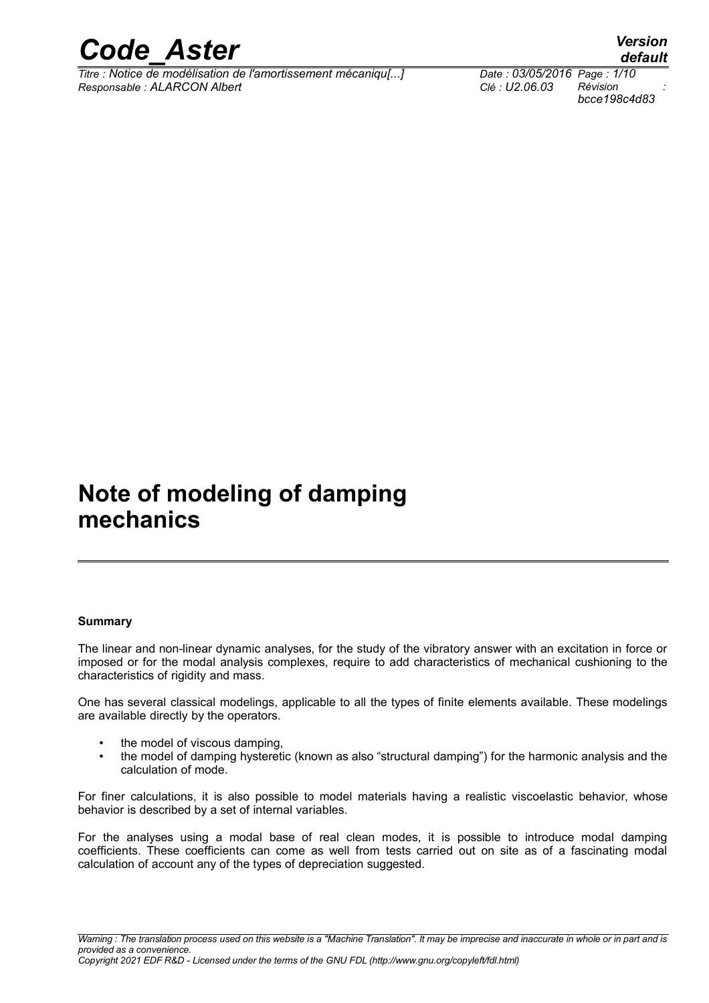

*Titre : Notice de modélisation de l'amortissement mécaniqu[...] Date : 03/05/2016 Page : 1/10 Responsable : ALARCON Albert Clé : U2.06.03 Révision :*

*bcce198c4d83*

*default*

## **Note of modeling of damping mechanics**

#### **Summary**

The linear and non-linear dynamic analyses, for the study of the vibratory answer with an excitation in force or imposed or for the modal analysis complexes, require to add characteristics of mechanical cushioning to the characteristics of rigidity and mass.

One has several classical modelings, applicable to all the types of finite elements available. These modelings are available directly by the operators.

- the model of viscous damping.
- the model of damping hysteretic (known as also "structural damping") for the harmonic analysis and the calculation of mode.

For finer calculations, it is also possible to model materials having a realistic viscoelastic behavior, whose behavior is described by a set of internal variables.

For the analyses using a modal base of real clean modes, it is possible to introduce modal damping coefficients. These coefficients can come as well from tests carried out on site as of a fascinating modal calculation of account any of the types of depreciation suggested.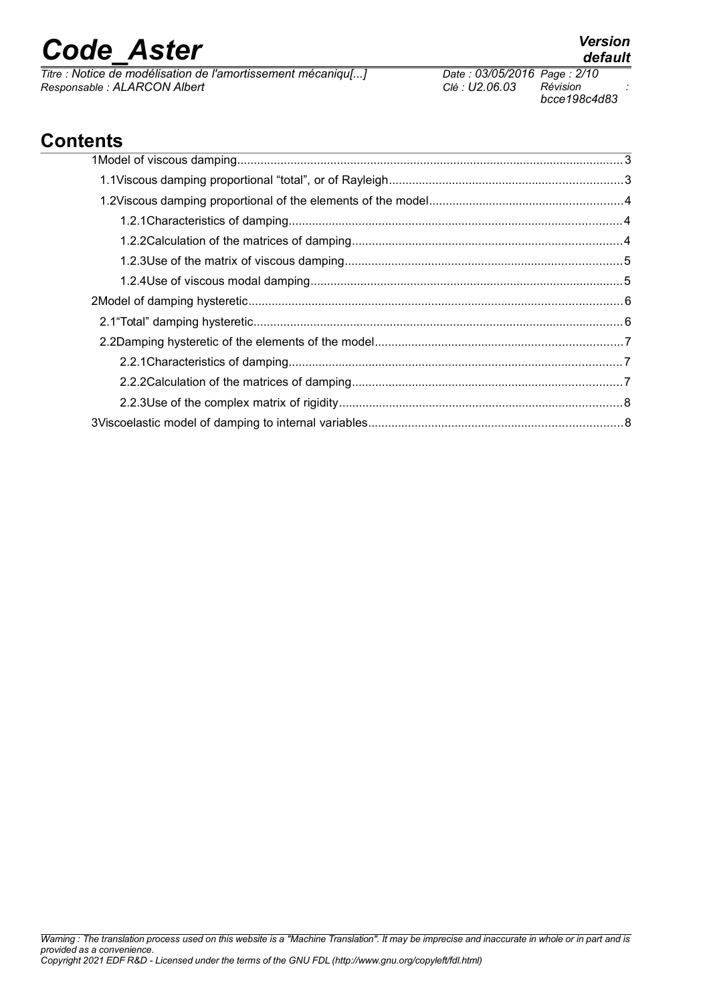*Titre : Notice de modélisation de l'amortissement mécaniqu[...] Date : 03/05/2016 Page : 2/10*  $Responsible : ALARCON Albert$ 

*bcce198c4d83*

## **Contents**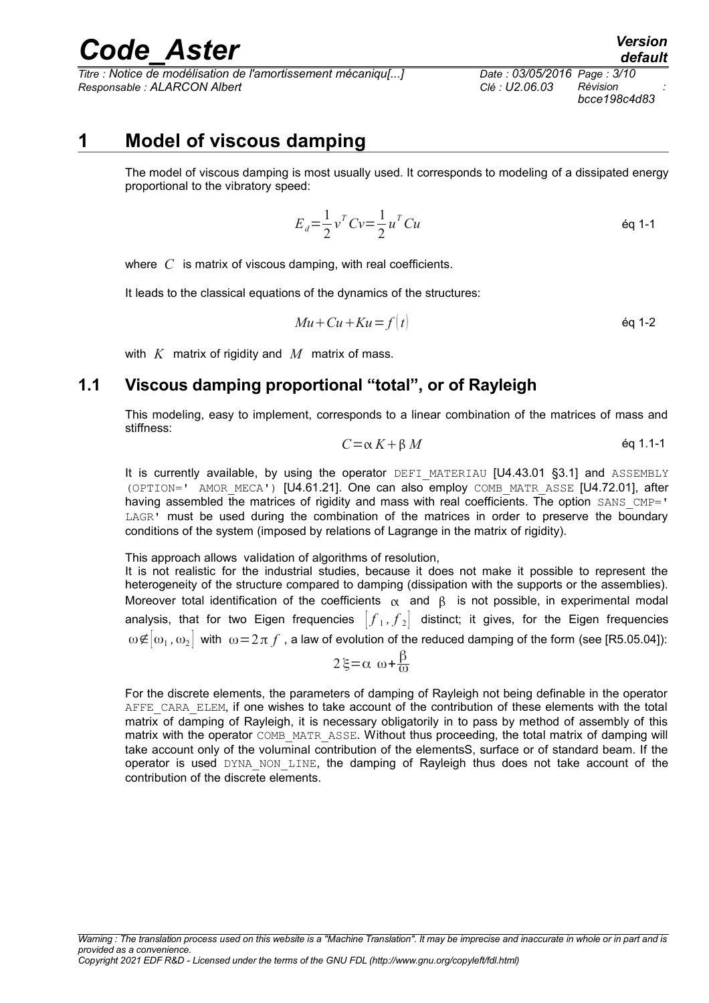*Titre : Notice de modélisation de l'amortissement mécaniqu[...] Date : 03/05/2016 Page : 3/10 Responsable : ALARCON Albert Clé : U2.06.03 Révision :*

### **1 Model of viscous damping**

The model of viscous damping is most usually used. It corresponds to modeling of a dissipated energy proportional to the vibratory speed:

$$
E_d = \frac{1}{2} v^T C v = \frac{1}{2} u^T C u
$$

where *C* is matrix of viscous damping, with real coefficients.

It leads to the classical equations of the dynamics of the structures:

$$
Mu + Cu + Ku = f(t) \tag{6q 1-2}
$$

with *K* matrix of rigidity and *M* matrix of mass.

### **1.1 Viscous damping proportional "total", or of Rayleigh**

This modeling, easy to implement, corresponds to a linear combination of the matrices of mass and stiffness:

$$
C = \alpha K + \beta M \qquad \qquad \text{Eq 1.1-1}
$$

It is currently available, by using the operator DEFI MATERIAU [U4.43.01 §3.1] and ASSEMBLY (OPTION=' AMOR\_MECA') [U4.61.21]. One can also employ COMB\_MATR\_ASSE [U4.72.01], after having assembled the matrices of rigidity and mass with real coefficients. The option SANS CMP=' LAGR' must be used during the combination of the matrices in order to preserve the boundary conditions of the system (imposed by relations of Lagrange in the matrix of rigidity).

This approach allows validation of algorithms of resolution,

It is not realistic for the industrial studies, because it does not make it possible to represent the heterogeneity of the structure compared to damping (dissipation with the supports or the assemblies). Moreover total identification of the coefficients  $\alpha$  and  $\beta$  is not possible, in experimental modal analysis, that for two Eigen frequencies  $\left| \int_{1} , \int_{2} \right|$  distinct; it gives, for the Eigen frequencies  $\omega\text{E}\big[\omega_1,\omega_2\big]$  with  $|\omega\!=\!2\pi\,f$  , a law of evolution of the reduced damping of the form (see [R5.05.04]):

$$
2\xi = \alpha \omega + \frac{\beta}{\omega}
$$

For the discrete elements, the parameters of damping of Rayleigh not being definable in the operator AFFE\_CARA\_ELEM, if one wishes to take account of the contribution of these elements with the total matrix of damping of Rayleigh, it is necessary obligatorily in to pass by method of assembly of this matrix with the operator COMB\_MATR\_ASSE. Without thus proceeding, the total matrix of damping will take account only of the voluminal contribution of the elementsS, surface or of standard beam. If the operator is used DYNA\_NON\_LINE, the damping of Rayleigh thus does not take account of the contribution of the discrete elements.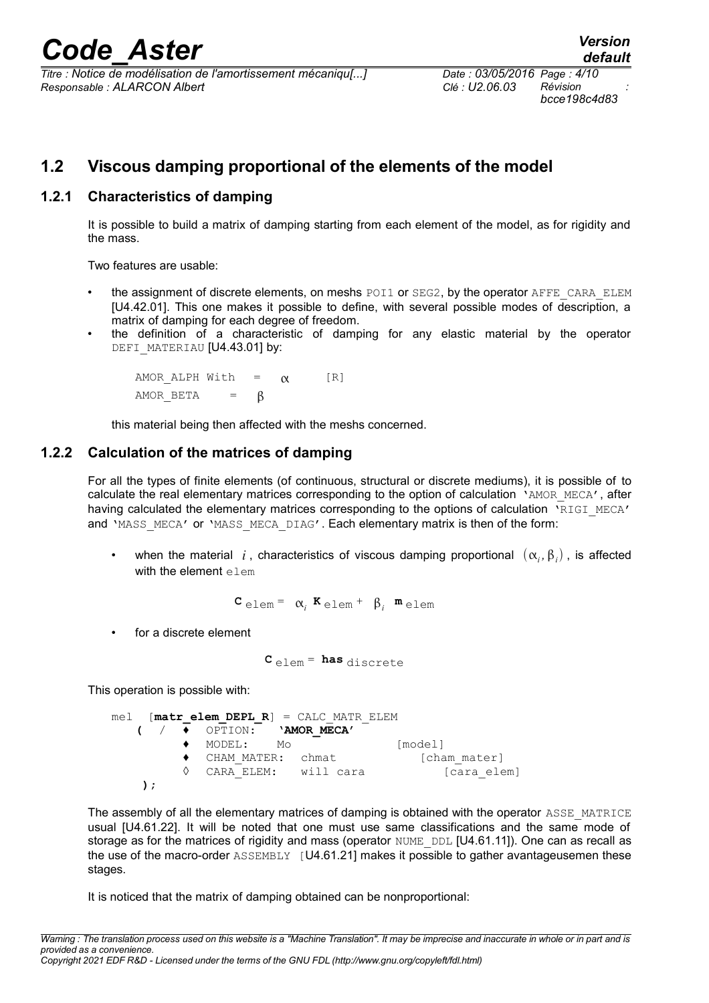*Titre : Notice de modélisation de l'amortissement mécaniqu[...] Date : 03/05/2016 Page : 4/10 Responsable : ALARCON Albert Clé : U2.06.03 Révision :*

*bcce198c4d83*

### **1.2 Viscous damping proportional of the elements of the model**

### **1.2.1 Characteristics of damping**

It is possible to build a matrix of damping starting from each element of the model, as for rigidity and the mass.

Two features are usable:

- the assignment of discrete elements, on meshs POI1 or SEG2, by the operator AFFE\_CARA\_ELEM [U4.42.01]. This one makes it possible to define, with several possible modes of description, a matrix of damping for each degree of freedom.
- the definition of a characteristic of damping for any elastic material by the operator DEFI\_MATERIAU [U4.43.01] by:

AMOR ALPH With  $=$   $\alpha$  [R] AMOR BETA =  $\beta$ 

this material being then affected with the meshs concerned.

### **1.2.2 Calculation of the matrices of damping**

For all the types of finite elements (of continuous, structural or discrete mediums), it is possible of to calculate the real elementary matrices corresponding to the option of calculation 'AMOR\_MECA', after having calculated the elementary matrices corresponding to the options of calculation 'RIGI\_MECA' and 'MASS\_MECA' or 'MASS\_MECA\_DIAG'. Each elementary matrix is then of the form:

• when the material  $i$ , characteristics of viscous damping proportional  $(\alpha_i, \beta_i)$ , is affected with the element elem

 $\mathbf{C}_{\text{elem}} = \alpha_i \mathbf{K}_{\text{elem}} + \beta_i \mathbf{m}_{\text{elem}}$ 

for a discrete element

**C** elem = **has** discrete

This operation is possible with:

mel [**matr\_elem\_DEPL\_R**] = CALC\_MATR\_ELEM **(** / ♦ OPTION: **'AMOR\_MECA'** ♦ MODEL: Mo [model] ♦ CHAM\_MATER: chmat [cham\_mater] ◊ CARA ELEM: will cara (cara elem) **);**

The assembly of all the elementary matrices of damping is obtained with the operator ASSE\_MATRICE usual [U4.61.22]. It will be noted that one must use same classifications and the same mode of storage as for the matrices of rigidity and mass (operator NUME DDL [U4.61.11]). One can as recall as the use of the macro-order  $\text{ASSEMBLY}$  [U4.61.21] makes it possible to gather avantageusemen these stages.

It is noticed that the matrix of damping obtained can be nonproportional:

*Warning : The translation process used on this website is a "Machine Translation". It may be imprecise and inaccurate in whole or in part and is provided as a convenience. Copyright 2021 EDF R&D - Licensed under the terms of the GNU FDL (http://www.gnu.org/copyleft/fdl.html)*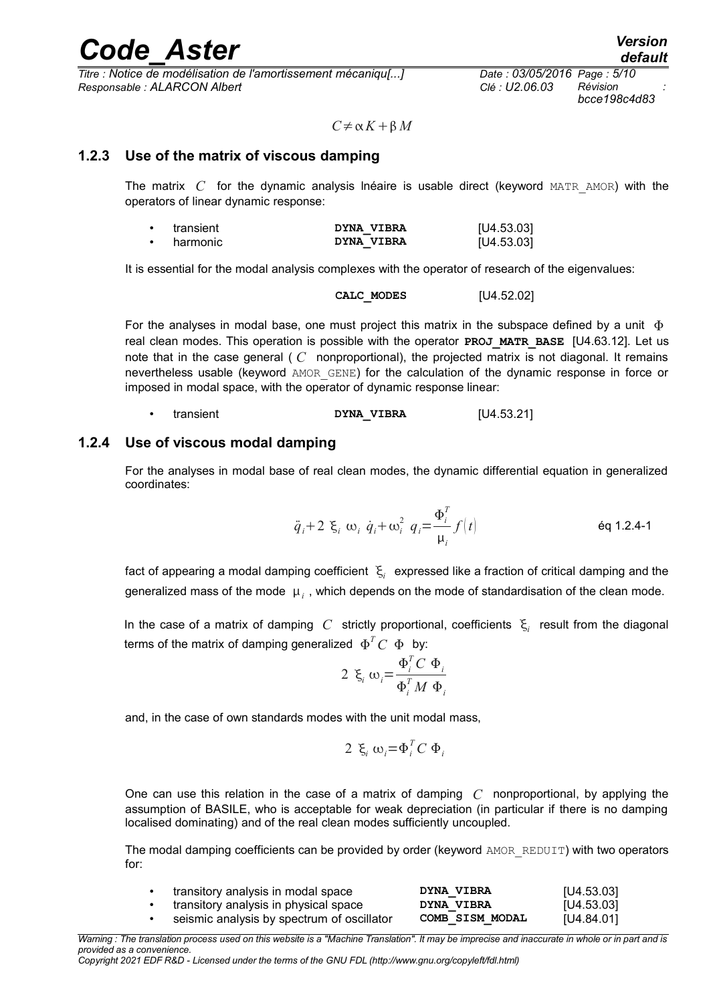*Titre : Notice de modélisation de l'amortissement mécaniqu[...] Date : 03/05/2016 Page : 5/10 Responsable : ALARCON Albert Clé : U2.06.03 Révision :*

*bcce198c4d83*

 $C \neq \alpha K + \beta M$ 

### **1.2.3 Use of the matrix of viscous damping**

The matrix *C* for the dynamic analysis lnéaire is usable direct (keyword MATR\_AMOR) with the operators of linear dynamic response:

| transient | DYNA VIBRA | [U4.53.03] |
|-----------|------------|------------|
| harmonic  | DYNA VIBRA | [U4.53.03] |

It is essential for the modal analysis complexes with the operator of research of the eigenvalues:

**CALC\_MODES** [U4.52.02]

For the analyses in modal base, one must project this matrix in the subspace defined by a unit  $\Phi$ real clean modes. This operation is possible with the operator **PROJ MATR BASE** [U4.63.12]. Let us note that in the case general ( *C* nonproportional), the projected matrix is not diagonal. It remains nevertheless usable (keyword AMOR\_GENE) for the calculation of the dynamic response in force or imposed in modal space, with the operator of dynamic response linear:

transient **DYNA VIBRA [U4.53.21]** 

### **1.2.4 Use of viscous modal damping**

For the analyses in modal base of real clean modes, the dynamic differential equation in generalized coordinates:

*q*¨ *<sup>i</sup>*2 *<sup>i</sup> <sup>i</sup> q*˙ *<sup>i</sup><sup>i</sup>* 2 *qi*= *i T i f t* éq 1.2.4-1

fact of appearing a modal damping coefficient  $|\xi_i|$  expressed like a fraction of critical damping and the generalized mass of the mode  $\vert\mu_i\vert$ , which depends on the mode of standardisation of the clean mode.

In the case of a matrix of damping  $|C|$  strictly proportional, coefficients  $|\xi_i|$  result from the diagonal terms of the matrix of damping generalized  $\Phi^T C_-\Phi_-$  by:

$$
2 \xi_i \omega_i = \frac{\Phi_i^T C \Phi_i}{\Phi_i^T M \Phi_i}
$$

and, in the case of own standards modes with the unit modal mass,

$$
2 \xi_i \omega_i = \Phi_i^T C \Phi_i
$$

One can use this relation in the case of a matrix of damping *C* nonproportional, by applying the assumption of BASILE, who is acceptable for weak depreciation (in particular if there is no damping localised dominating) and of the real clean modes sufficiently uncoupled.

The modal damping coefficients can be provided by order (keyword AMOR\_REDUIT) with two operators for:

| transitory analysis in modal space         | DYNA VIBRA             | [U4.53.03] |
|--------------------------------------------|------------------------|------------|
| transitory analysis in physical space      | <b>DYNA VIBRA</b>      | [U4.53.03] |
| seismic analysis by spectrum of oscillator | <b>COMB SISM MODAL</b> | [U4.84.01] |

*Warning : The translation process used on this website is a "Machine Translation". It may be imprecise and inaccurate in whole or in part and is provided as a convenience.*

*Copyright 2021 EDF R&D - Licensed under the terms of the GNU FDL (http://www.gnu.org/copyleft/fdl.html)*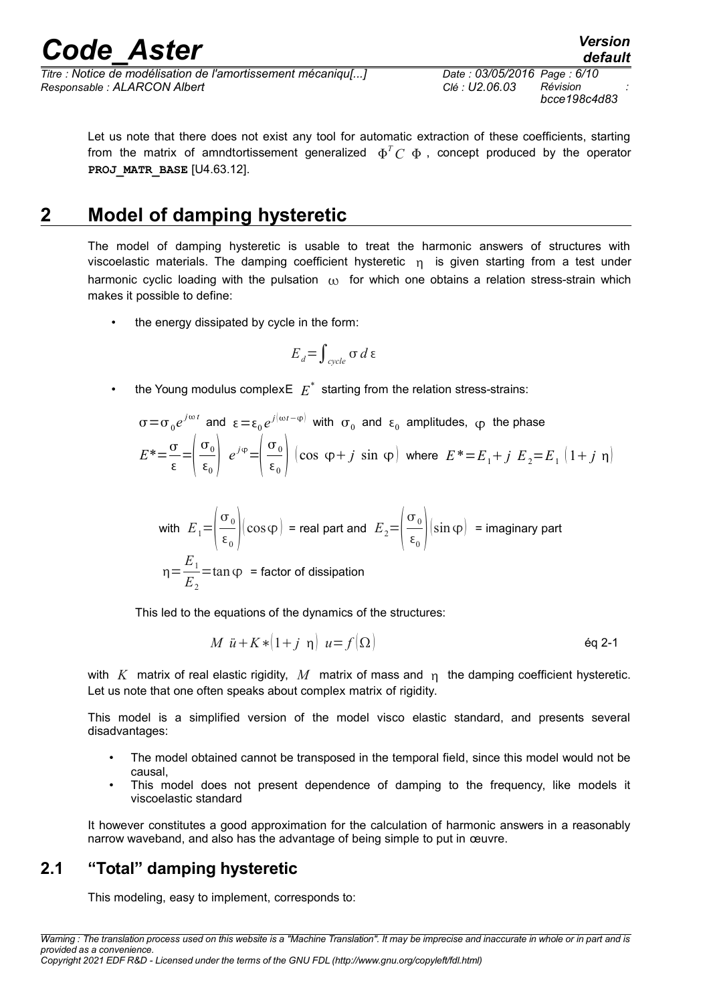*Titre : Notice de modélisation de l'amortissement mécaniqu[...] Date : 03/05/2016 Page : 6/10 Responsable : ALARCON Albert Clé : U2.06.03 Révision :*

Let us note that there does not exist any tool for automatic extraction of these coefficients, starting from the matrix of amndtortissement generalized  $\Phi^T C_- \Phi$  , concept produced by the operator **PROJ\_MATR\_BASE** [U4.63.12].

### **2 Model of damping hysteretic**

The model of damping hysteretic is usable to treat the harmonic answers of structures with viscoelastic materials. The damping coefficient hysteretic  $n_i$  is given starting from a test under harmonic cyclic loading with the pulsation  $\omega$  for which one obtains a relation stress-strain which makes it possible to define:

the energy dissipated by cycle in the form:

$$
E_{d}\!=\!\int_{\mathit{cycle}}\sigma\,d\,\epsilon
$$

• the Young modulus complex $\mathsf{E}\left\vert E\right\rangle ^{*}$  starting from the relation stress-strains:

$$
\sigma = \sigma_0 e^{j\omega t} \text{ and } \varepsilon = \varepsilon_0 e^{j(\omega t - \varphi)} \text{ with } \sigma_0 \text{ and } \varepsilon_0 \text{ amplitudes, } \varphi \text{ the phase}
$$
\n
$$
E^* = \frac{\sigma}{\varepsilon} = \left(\frac{\sigma_0}{\varepsilon_0}\right) e^{j\varphi} = \left(\frac{\sigma_0}{\varepsilon_0}\right) \left(\cos \varphi + j \sin \varphi\right) \text{ where } E^* = E_1 + j E_2 = E_1 \left(1 + j \eta\right)
$$

with 
$$
E_1 = \left(\frac{\sigma_0}{\epsilon_0}\right) (\cos \varphi) = \text{real part and } E_2 = \left(\frac{\sigma_0}{\epsilon_0}\right) (\sin \varphi) = \text{imaginary part}
$$
  

$$
\eta = \frac{E_1}{E_2} = \tan \varphi = \text{factor of dissipation}
$$

This led to the equations of the dynamics of the structures:

$$
M \ddot{u} + K * (1+j \eta) u = f(\Omega) \tag{6q 2-1}
$$

with  $K$  matrix of real elastic rigidity,  $M$  matrix of mass and  $n$  the damping coefficient hysteretic. Let us note that one often speaks about complex matrix of rigidity.

This model is a simplified version of the model visco elastic standard, and presents several disadvantages:

- The model obtained cannot be transposed in the temporal field, since this model would not be causal,
- This model does not present dependence of damping to the frequency, like models it viscoelastic standard

It however constitutes a good approximation for the calculation of harmonic answers in a reasonably narrow waveband, and also has the advantage of being simple to put in œuvre.

### **2.1 "Total" damping hysteretic**

This modeling, easy to implement, corresponds to: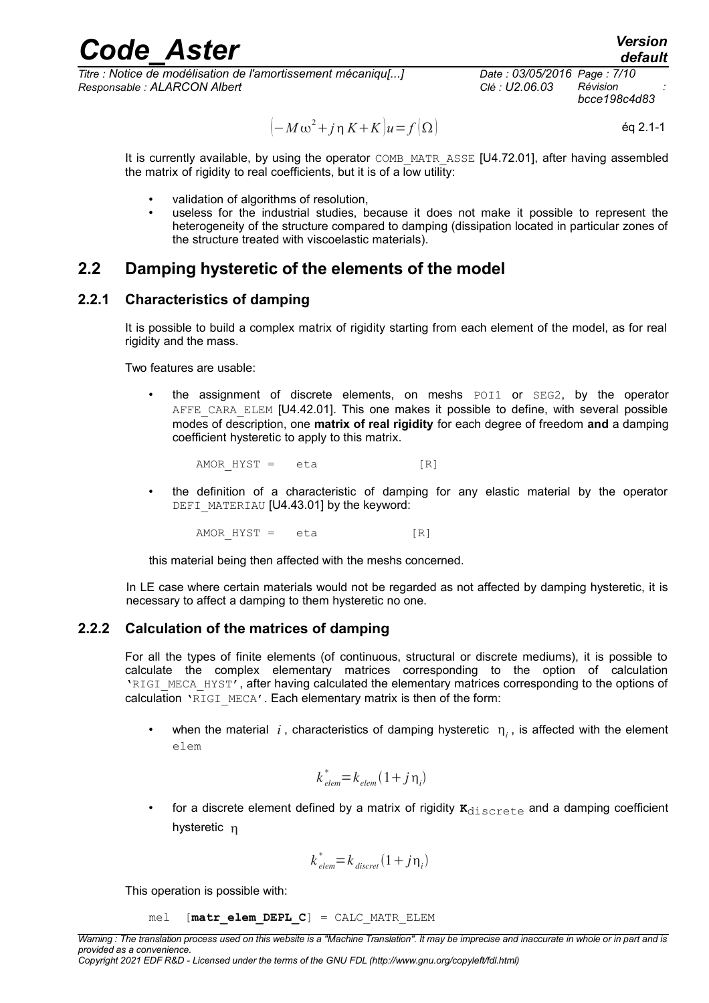*Titre : Notice de modélisation de l'amortissement mécaniqu[...] Date : 03/05/2016 Page : 7/10 Responsable : ALARCON Albert Clé : U2.06.03 Révision :*

*bcce198c4d83*

*default*

$$
(-M\omega^2 + j\eta K + K)u = f(\Omega)
$$
 eq 2.1-1

It is currently available, by using the operator COMB\_MATR\_ASSE [U4.72.01], after having assembled the matrix of rigidity to real coefficients, but it is of a low utility:

- validation of algorithms of resolution,
- useless for the industrial studies, because it does not make it possible to represent the heterogeneity of the structure compared to damping (dissipation located in particular zones of the structure treated with viscoelastic materials).

### **2.2 Damping hysteretic of the elements of the model**

### **2.2.1 Characteristics of damping**

It is possible to build a complex matrix of rigidity starting from each element of the model, as for real rigidity and the mass.

Two features are usable:

the assignment of discrete elements, on meshs POI1 or SEG2, by the operator AFFE\_CARA\_ELEM [U4.42.01]. This one makes it possible to define, with several possible modes of description, one **matrix of real rigidity** for each degree of freedom **and** a damping coefficient hysteretic to apply to this matrix.

AMOR HYST = eta [R]

• the definition of a characteristic of damping for any elastic material by the operator DEFI\_MATERIAU [U4.43.01] by the keyword:

AMOR HYST = eta [R]

this material being then affected with the meshs concerned.

In LE case where certain materials would not be regarded as not affected by damping hysteretic, it is necessary to affect a damping to them hysteretic no one.

#### **2.2.2 Calculation of the matrices of damping**

For all the types of finite elements (of continuous, structural or discrete mediums), it is possible to calculate the complex elementary matrices corresponding to the option of calculation 'RIGI\_MECA\_HYST', after having calculated the elementary matrices corresponding to the options of calculation 'RIGI\_MECA'. Each elementary matrix is then of the form:

• when the material  $i$ , characteristics of damping hysteretic  $\eta_i$ , is affected with the element elem

$$
k_{\text{elem}}^* = k_{\text{elem}} (1 + j n_i)
$$

for a discrete element defined by a matrix of rigidity  $\kappa_{discrete}$  and a damping coefficient hysteretic n

$$
k_{\text{elem}}^* = k_{\text{discret}} (1 + j n_i)
$$

This operation is possible with:

$$
mel [matr\_elem\_DEPL_C] = CALC\_MATR\_ELEM
$$

*Warning : The translation process used on this website is a "Machine Translation". It may be imprecise and inaccurate in whole or in part and is provided as a convenience.*

*Copyright 2021 EDF R&D - Licensed under the terms of the GNU FDL (http://www.gnu.org/copyleft/fdl.html)*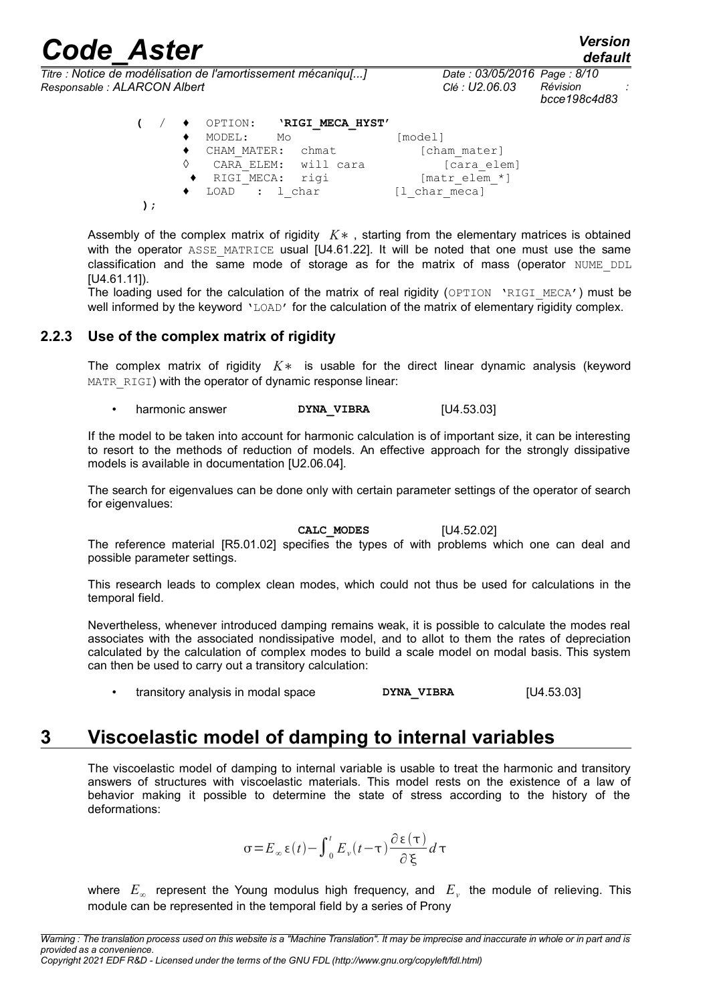*default*

*Titre : Notice de modélisation de l'amortissement mécaniqu[...] Date : 03/05/2016 Page : 8/10 Responsable : ALARCON Albert Clé : U2.06.03 Révision :*

*bcce198c4d83*

| $\sqrt{2}$ |   | ♦ OPTION: 'RIGI MECA HYST' |               |
|------------|---|----------------------------|---------------|
|            |   | MODEL:<br>Mo               | [model]       |
|            |   | CHAM MATER: chmat          | [cham mater]  |
|            | ♦ | CARA ELEM: will cara       | [cara elem]   |
|            |   | ◆ RIGI MECA: rigi          | [matr elem *] |
|            |   | $\bullet$ LOAD : l char    | [1 char meca] |
|            |   |                            |               |

Assembly of the complex matrix of rigidity *K*∗ , starting from the elementary matrices is obtained with the operator ASSE MATRICE usual [U4.61.22]. It will be noted that one must use the same classification and the same mode of storage as for the matrix of mass (operator NUME\_DDL [U4.61.11]).

The loading used for the calculation of the matrix of real rigidity (OPTION 'RIGI MECA') must be well informed by the keyword 'LOAD' for the calculation of the matrix of elementary rigidity complex.

#### **2.2.3 Use of the complex matrix of rigidity**

The complex matrix of rigidity *K*∗ is usable for the direct linear dynamic analysis (keyword MATR\_RIGI) with the operator of dynamic response linear:

harmonic answer **DYNA\_VIBRA** [U4.53.03]

If the model to be taken into account for harmonic calculation is of important size, it can be interesting to resort to the methods of reduction of models. An effective approach for the strongly dissipative models is available in documentation [U2.06.04].

The search for eigenvalues can be done only with certain parameter settings of the operator of search for eigenvalues:

**CALC\_MODES** [U4.52.02]

The reference material [R5.01.02] specifies the types of with problems which one can deal and possible parameter settings.

This research leads to complex clean modes, which could not thus be used for calculations in the temporal field.

Nevertheless, whenever introduced damping remains weak, it is possible to calculate the modes real associates with the associated nondissipative model, and to allot to them the rates of depreciation calculated by the calculation of complex modes to build a scale model on modal basis. This system can then be used to carry out a transitory calculation:

transitory analysis in modal space **DYNA\_VIBRA** [U4.53.03]

### **3 Viscoelastic model of damping to internal variables**

The viscoelastic model of damping to internal variable is usable to treat the harmonic and transitory answers of structures with viscoelastic materials. This model rests on the existence of a law of behavior making it possible to determine the state of stress according to the history of the deformations:

$$
\sigma\!=\!E_{\infty}\,\varepsilon(t)-\int_{0}^{t}E_{\nu}(t-\tau)\frac{\partial\,\varepsilon\left(\tau\right)}{\partial\,\xi}d\,\tau
$$

where  $E_\infty$  represent the Young modulus high frequency, and  $E_\nu$  the module of relieving. This module can be represented in the temporal field by a series of Prony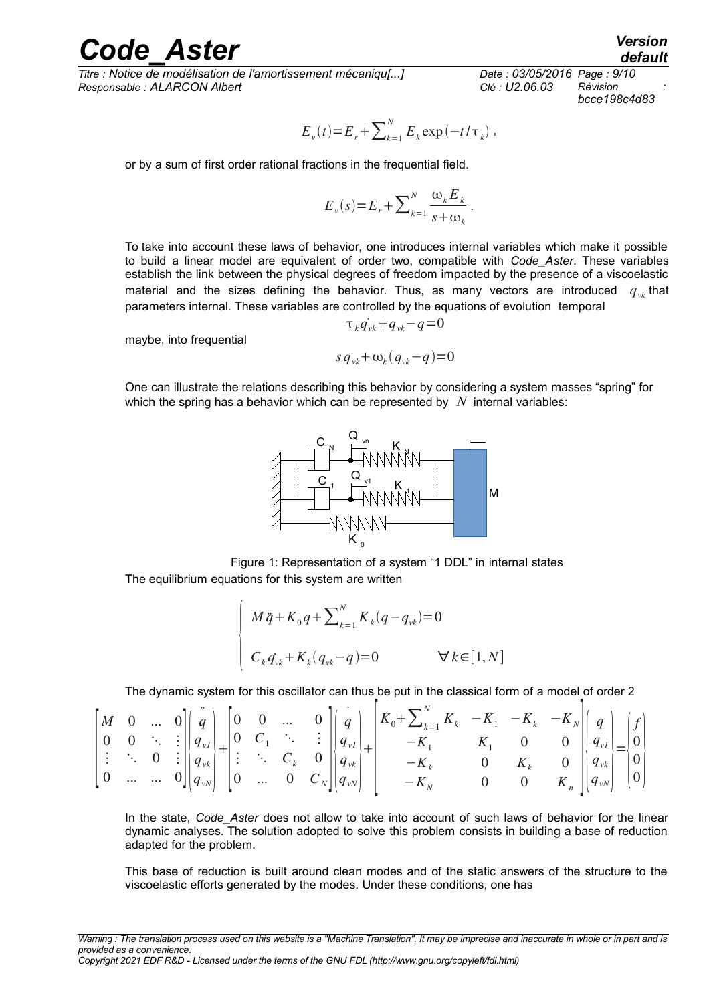*Titre : Notice de modélisation de l'amortissement mécaniqu[...] Date : 03/05/2016 Page : 9/10 Responsable : ALARCON Albert Clé : U2.06.03 Révision :*

*bcce198c4d83*

$$
E_v(t) = E_r + \sum_{k=1}^{N} E_k \exp(-t/\tau_k)
$$
,

or by a sum of first order rational fractions in the frequential field.

$$
E_{\nu}(s) = E_r + \sum_{k=1}^{N} \frac{\omega_k E_k}{s + \omega_k}.
$$

To take into account these laws of behavior, one introduces internal variables which make it possible to build a linear model are equivalent of order two, compatible with *Code\_Aster*. These variables establish the link between the physical degrees of freedom impacted by the presence of a viscoelastic material and the sizes defining the behavior. Thus, as many vectors are introduced  $q_{\nu k}$  that parameters internal. These variables are controlled by the equations of evolution temporal

maybe, into frequential

$$
s q_{vk} + \omega_k (q_{vk} - q) = 0
$$

 $\tau_k q_{\nu k} + q_{\nu k} - q = 0$ 

One can illustrate the relations describing this behavior by considering a system masses "spring" for which the spring has a behavior which can be represented by *N* internal variables:



Figure 1: Representation of a system "1 DDL" in internal states The equilibrium equations for this system are written

$$
\begin{cases} M \ddot{q} + K_0 q + \sum_{k=1}^{N} K_k (q - q_{vk}) = 0 \\ C_k q_{vk} + K_k (q_{vk} - q) = 0 \qquad \forall k \in [1, N] \end{cases}
$$

The dynamic system for this oscillator can thus be put in the classical form of a model of order 2

|  |  |  |  | $\begin{bmatrix} M & 0 & \dots & 0 \\ 0 & 0 & \ddots & \vdots \\ \vdots & \ddots & 0 & \vdots \\ 0 & \dots & \dots & 0 \end{bmatrix} \begin{bmatrix} q \\ q_{\nu l} \\ q_{\nu k} \\ q_{\nu N} \end{bmatrix} + \begin{bmatrix} 0 & 0 & \dots & 0 \\ 0 & C_1 & \ddots & \vdots \\ \vdots & \ddots & C_k & 0 \\ 0 & \dots & 0 & C_N \end{bmatrix} \begin{bmatrix} q \\ q_{\nu l} \\ q_{\nu k} \\ q_{\nu N} \end{bmatrix} + \begin{bmatrix} K_0 + \sum_{k=1}^N K_k & -$ |  |  |  |
|--|--|--|--|---------------------------------------------------------------------------------------------------------------------------------------------------------------------------------------------------------------------------------------------------------------------------------------------------------------------------------------------------------------------------------------------------------------------------------------------------------------------|--|--|--|

In the state, *Code\_Aster* does not allow to take into account of such laws of behavior for the linear dynamic analyses. The solution adopted to solve this problem consists in building a base of reduction adapted for the problem.

This base of reduction is built around clean modes and of the static answers of the structure to the viscoelastic efforts generated by the modes. Under these conditions, one has

*default*